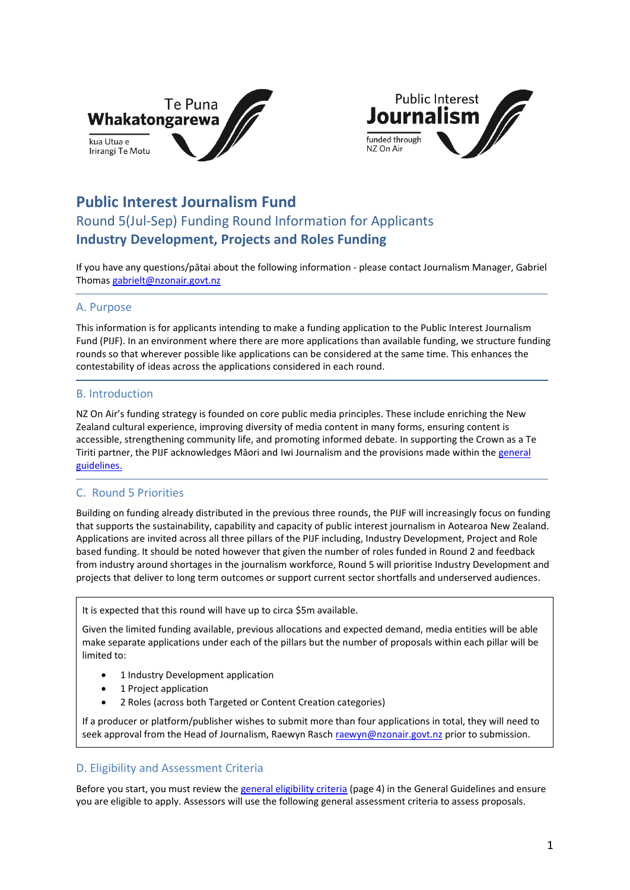



# **Public Interest Journalism Fund**

# Round 5(Jul-Sep) Funding Round Information for Applicants **Industry Development, Projects and Roles Funding**

If you have any questions/pātai about the following information - please contact Journalism Manager, Gabriel Thoma[s gabrielt@nzonair.govt.nz](mailto:gabrielt@nzonair.govt.nz)

### A. Purpose

This information is for applicants intending to make a funding application to the Public Interest Journalism Fund (PIJF). In an environment where there are more applications than available funding, we structure funding rounds so that wherever possible like applications can be considered at the same time. This enhances the contestability of ideas across the applications considered in each round.

### B. Introduction

NZ On Air's funding strategy is founded on core public media principles. These include enriching the New Zealand cultural experience, improving diversity of media content in many forms, ensuring content is accessible, strengthening community life, and promoting informed debate. In supporting the Crown as a Te Tiriti partner, the PIJF acknowledges Māori and Iwi Journalism and the provisions made within the [general](https://www.nzonair.govt.nz/documents/657/220221_PIJF_General_Guidelines_updated.pdf)  [guidelines.](https://www.nzonair.govt.nz/documents/657/220221_PIJF_General_Guidelines_updated.pdf)

### C. Round 5 Priorities

Building on funding already distributed in the previous three rounds, the PIJF will increasingly focus on funding that supports the sustainability, capability and capacity of public interest journalism in Aotearoa New Zealand. Applications are invited across all three pillars of the PIJF including, Industry Development, Project and Role based funding. It should be noted however that given the number of roles funded in Round 2 and feedback from industry around shortages in the journalism workforce, Round 5 will prioritise Industry Development and projects that deliver to long term outcomes or support current sector shortfalls and underserved audiences.

It is expected that this round will have up to circa \$5m available.

Given the limited funding available, previous allocations and expected demand, media entities will be able make separate applications under each of the pillars but the number of proposals within each pillar will be limited to:

- 1 Industry Development application
- 1 Project application
- 2 Roles (across both Targeted or Content Creation categories)

If a producer or platform/publisher wishes to submit more than four applications in total, they will need to seek approval from the Head of Journalism, Raewyn Rasch [raewyn@nzonair.govt.nz](mailto:raewyn@nzonair.govt.nz) prior to submission.

### D. Eligibility and Assessment Criteria

Before you start, you must review the [general eligibility criteria](https://www.nzonair.govt.nz/documents/657/220221_PIJF_General_Guidelines_updated.pdf) (page 4) in the General Guidelines and ensure you are eligible to apply. Assessors will use the following general assessment criteria to assess proposals.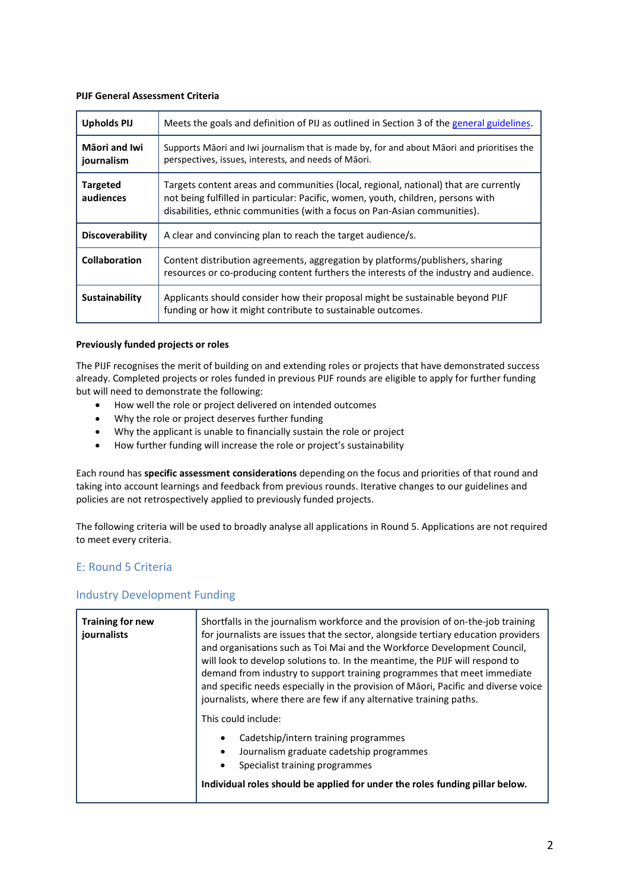#### **PIJF General Assessment Criteria**

| <b>Upholds PIJ</b>           | Meets the goals and definition of PIJ as outlined in Section 3 of the general guidelines.                                                                                                                                                             |  |
|------------------------------|-------------------------------------------------------------------------------------------------------------------------------------------------------------------------------------------------------------------------------------------------------|--|
| Māori and Iwi<br>journalism  | Supports Māori and Iwi journalism that is made by, for and about Māori and prioritises the<br>perspectives, issues, interests, and needs of Māori.                                                                                                    |  |
| <b>Targeted</b><br>audiences | Targets content areas and communities (local, regional, national) that are currently<br>not being fulfilled in particular: Pacific, women, youth, children, persons with<br>disabilities, ethnic communities (with a focus on Pan-Asian communities). |  |
| <b>Discoverability</b>       | A clear and convincing plan to reach the target audience/s.                                                                                                                                                                                           |  |
| Collaboration                | Content distribution agreements, aggregation by platforms/publishers, sharing<br>resources or co-producing content furthers the interests of the industry and audience.                                                                               |  |
| Sustainability               | Applicants should consider how their proposal might be sustainable beyond PIJF<br>funding or how it might contribute to sustainable outcomes.                                                                                                         |  |

#### **Previously funded projects or roles**

The PIJF recognises the merit of building on and extending roles or projects that have demonstrated success already. Completed projects or roles funded in previous PIJF rounds are eligible to apply for further funding but will need to demonstrate the following:

- How well the role or project delivered on intended outcomes
- Why the role or project deserves further funding
- Why the applicant is unable to financially sustain the role or project
- How further funding will increase the role or project's sustainability

Each round has **specific assessment considerations** depending on the focus and priorities of that round and taking into account learnings and feedback from previous rounds. Iterative changes to our guidelines and policies are not retrospectively applied to previously funded projects.

The following criteria will be used to broadly analyse all applications in Round 5. Applications are not required to meet every criteria.

## E: Round 5 Criteria

## Industry Development Funding

| <b>Training for new</b><br>journalists | Shortfalls in the journalism workforce and the provision of on-the-job training<br>for journalists are issues that the sector, alongside tertiary education providers<br>and organisations such as Toi Mai and the Workforce Development Council,<br>will look to develop solutions to. In the meantime, the PIJF will respond to<br>demand from industry to support training programmes that meet immediate<br>and specific needs especially in the provision of Māori, Pacific and diverse voice<br>journalists, where there are few if any alternative training paths. |
|----------------------------------------|---------------------------------------------------------------------------------------------------------------------------------------------------------------------------------------------------------------------------------------------------------------------------------------------------------------------------------------------------------------------------------------------------------------------------------------------------------------------------------------------------------------------------------------------------------------------------|
|                                        | This could include:<br>Cadetship/intern training programmes<br>Journalism graduate cadetship programmes<br>$\bullet$<br>Specialist training programmes<br>$\bullet$<br>Individual roles should be applied for under the roles funding pillar below.                                                                                                                                                                                                                                                                                                                       |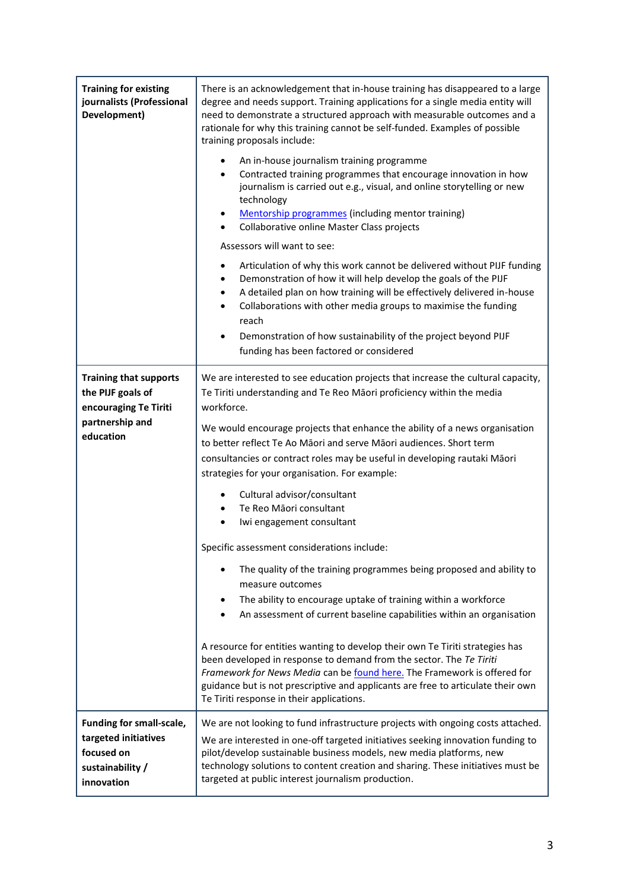| <b>Training for existing</b><br>journalists (Professional<br>Development)                        | There is an acknowledgement that in-house training has disappeared to a large<br>degree and needs support. Training applications for a single media entity will<br>need to demonstrate a structured approach with measurable outcomes and a<br>rationale for why this training cannot be self-funded. Examples of possible<br>training proposals include:                                                                         |  |  |
|--------------------------------------------------------------------------------------------------|-----------------------------------------------------------------------------------------------------------------------------------------------------------------------------------------------------------------------------------------------------------------------------------------------------------------------------------------------------------------------------------------------------------------------------------|--|--|
|                                                                                                  | An in-house journalism training programme<br>٠<br>Contracted training programmes that encourage innovation in how<br>$\bullet$<br>journalism is carried out e.g., visual, and online storytelling or new<br>technology<br>Mentorship programmes (including mentor training)<br>٠<br>Collaborative online Master Class projects                                                                                                    |  |  |
|                                                                                                  | Assessors will want to see:                                                                                                                                                                                                                                                                                                                                                                                                       |  |  |
|                                                                                                  | Articulation of why this work cannot be delivered without PIJF funding<br>$\bullet$<br>Demonstration of how it will help develop the goals of the PIJF<br>$\bullet$<br>A detailed plan on how training will be effectively delivered in-house<br>$\bullet$<br>Collaborations with other media groups to maximise the funding<br>$\bullet$<br>reach<br>Demonstration of how sustainability of the project beyond PIJF<br>$\bullet$ |  |  |
|                                                                                                  | funding has been factored or considered                                                                                                                                                                                                                                                                                                                                                                                           |  |  |
| <b>Training that supports</b><br>the PIJF goals of<br>encouraging Te Tiriti                      | We are interested to see education projects that increase the cultural capacity,<br>Te Tiriti understanding and Te Reo Māori proficiency within the media<br>workforce.                                                                                                                                                                                                                                                           |  |  |
| partnership and<br>education                                                                     | We would encourage projects that enhance the ability of a news organisation<br>to better reflect Te Ao Māori and serve Māori audiences. Short term<br>consultancies or contract roles may be useful in developing rautaki Māori<br>strategies for your organisation. For example:                                                                                                                                                 |  |  |
|                                                                                                  | Cultural advisor/consultant<br>Te Reo Māori consultant<br>Iwi engagement consultant                                                                                                                                                                                                                                                                                                                                               |  |  |
|                                                                                                  | Specific assessment considerations include:                                                                                                                                                                                                                                                                                                                                                                                       |  |  |
|                                                                                                  | The quality of the training programmes being proposed and ability to<br>measure outcomes                                                                                                                                                                                                                                                                                                                                          |  |  |
|                                                                                                  | The ability to encourage uptake of training within a workforce<br>An assessment of current baseline capabilities within an organisation                                                                                                                                                                                                                                                                                           |  |  |
|                                                                                                  | A resource for entities wanting to develop their own Te Tiriti strategies has<br>been developed in response to demand from the sector. The Te Tiriti<br>Framework for News Media can be found here. The Framework is offered for<br>guidance but is not prescriptive and applicants are free to articulate their own<br>Te Tiriti response in their applications.                                                                 |  |  |
| Funding for small-scale,<br>targeted initiatives<br>focused on<br>sustainability /<br>innovation | We are not looking to fund infrastructure projects with ongoing costs attached.<br>We are interested in one-off targeted initiatives seeking innovation funding to<br>pilot/develop sustainable business models, new media platforms, new<br>technology solutions to content creation and sharing. These initiatives must be<br>targeted at public interest journalism production.                                                |  |  |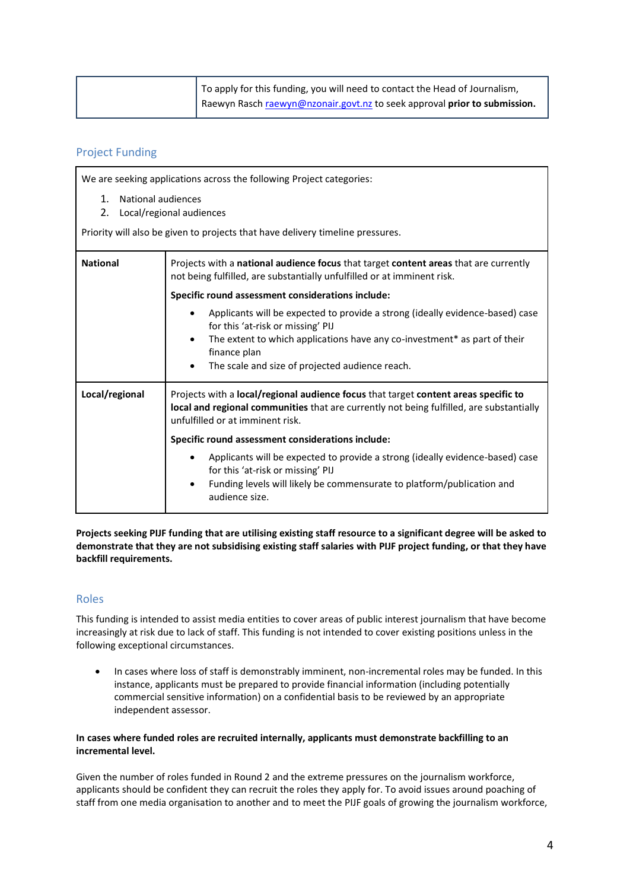| To apply for this funding, you will need to contact the Head of Journalism, |
|-----------------------------------------------------------------------------|
| Raewyn Rasch raewyn@nzonair.govt.nz to seek approval prior to submission.   |

## Project Funding

We are seeking applications across the following Project categories: 1. National audiences 2. Local/regional audiences Priority will also be given to projects that have delivery timeline pressures. **National** Projects with a **national audience focus** that target **content areas** that are currently not being fulfilled, are substantially unfulfilled or at imminent risk. **Specific round assessment considerations include:** • Applicants will be expected to provide a strong (ideally evidence-based) case for this 'at-risk or missing' PIJ The extent to which applications have any co-investment\* as part of their finance plan The scale and size of projected audience reach. **Local/regional** Projects with a **local/regional audience focus** that target **content areas specific to local and regional communities** that are currently not being fulfilled, are substantially unfulfilled or at imminent risk. **Specific round assessment considerations include:** • Applicants will be expected to provide a strong (ideally evidence-based) case for this 'at-risk or missing' PIJ • Funding levels will likely be commensurate to platform/publication and audience size.

**Projects seeking PIJF funding that are utilising existing staff resource to a significant degree will be asked to demonstrate that they are not subsidising existing staff salaries with PIJF project funding, or that they have backfill requirements.** 

## Roles

This funding is intended to assist media entities to cover areas of public interest journalism that have become increasingly at risk due to lack of staff. This funding is not intended to cover existing positions unless in the following exceptional circumstances.

• In cases where loss of staff is demonstrably imminent, non-incremental roles may be funded. In this instance, applicants must be prepared to provide financial information (including potentially commercial sensitive information) on a confidential basis to be reviewed by an appropriate independent assessor.

#### **In cases where funded roles are recruited internally, applicants must demonstrate backfilling to an incremental level.**

Given the number of roles funded in Round 2 and the extreme pressures on the journalism workforce, applicants should be confident they can recruit the roles they apply for. To avoid issues around poaching of staff from one media organisation to another and to meet the PIJF goals of growing the journalism workforce,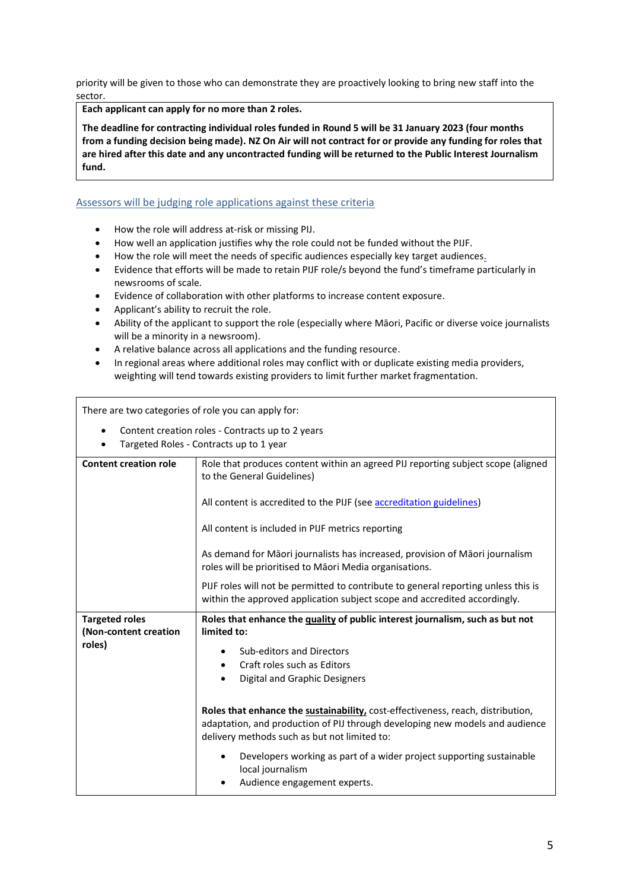priority will be given to those who can demonstrate they are proactively looking to bring new staff into the sector.

**Each applicant can apply for no more than 2 roles.**

**The deadline for contracting individual roles funded in Round 5 will be 31 January 2023 (four months from a funding decision being made). NZ On Air will not contract for or provide any funding for roles that are hired after this date and any uncontracted funding will be returned to the Public Interest Journalism fund.** 

#### Assessors will be judging role applications against these criteria

- How the role will address at-risk or missing PIJ.
- How well an application justifies why the role could not be funded without the PIJF.
- How the role will meet the needs of specific audiences especially key target audiences.
- Evidence that efforts will be made to retain PIJF role/s beyond the fund's timeframe particularly in newsrooms of scale.
- Evidence of collaboration with other platforms to increase content exposure.
- Applicant's ability to recruit the role.
- Ability of the applicant to support the role (especially where Māori, Pacific or diverse voice journalists will be a minority in a newsroom).
- A relative balance across all applications and the funding resource.
- In regional areas where additional roles may conflict with or duplicate existing media providers, weighting will tend towards existing providers to limit further market fragmentation.

There are two categories of role you can apply for:

- Content creation roles Contracts up to 2 years
- Targeted Roles Contracts up to 1 year

| <b>Content creation role</b> | Role that produces content within an agreed PIJ reporting subject scope (aligned<br>to the General Guidelines)                                                                                                  |  |  |
|------------------------------|-----------------------------------------------------------------------------------------------------------------------------------------------------------------------------------------------------------------|--|--|
|                              | All content is accredited to the PIJF (see accreditation guidelines)                                                                                                                                            |  |  |
|                              | All content is included in PIJF metrics reporting                                                                                                                                                               |  |  |
|                              | As demand for Māori journalists has increased, provision of Māori journalism<br>roles will be prioritised to Māori Media organisations.                                                                         |  |  |
|                              | PIJF roles will not be permitted to contribute to general reporting unless this is<br>within the approved application subject scope and accredited accordingly.                                                 |  |  |
| <b>Targeted roles</b>        | Roles that enhance the quality of public interest journalism, such as but not                                                                                                                                   |  |  |
| (Non-content creation        | limited to:                                                                                                                                                                                                     |  |  |
| roles)                       |                                                                                                                                                                                                                 |  |  |
|                              | Sub-editors and Directors                                                                                                                                                                                       |  |  |
|                              | Craft roles such as Editors                                                                                                                                                                                     |  |  |
|                              | <b>Digital and Graphic Designers</b>                                                                                                                                                                            |  |  |
|                              | Roles that enhance the sustainability, cost-effectiveness, reach, distribution,<br>adaptation, and production of PIJ through developing new models and audience<br>delivery methods such as but not limited to: |  |  |
|                              | Developers working as part of a wider project supporting sustainable<br>local journalism<br>Audience engagement experts.                                                                                        |  |  |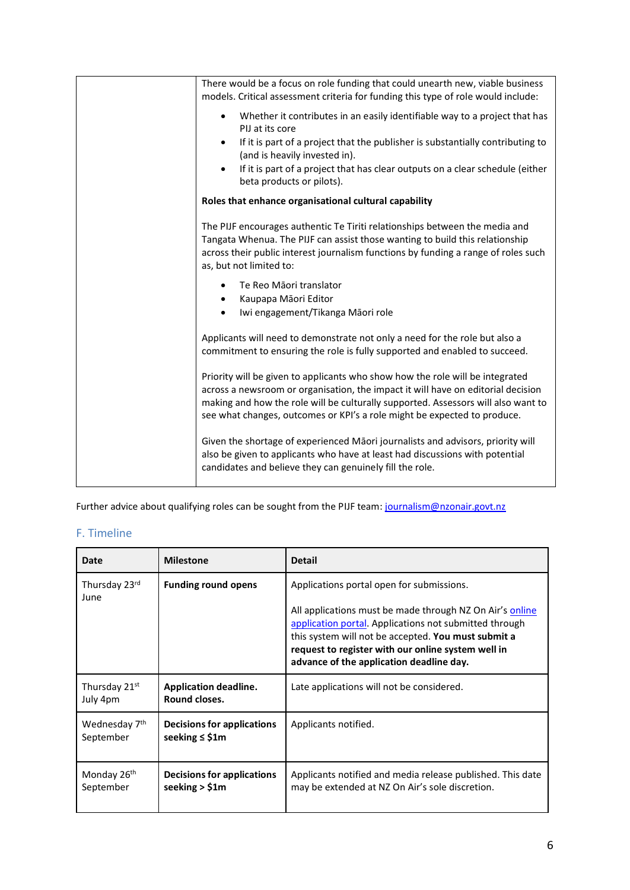| There would be a focus on role funding that could unearth new, viable business<br>models. Critical assessment criteria for funding this type of role would include:                                                                                                                                                                |  |
|------------------------------------------------------------------------------------------------------------------------------------------------------------------------------------------------------------------------------------------------------------------------------------------------------------------------------------|--|
| Whether it contributes in an easily identifiable way to a project that has<br>$\bullet$<br>PIJ at its core                                                                                                                                                                                                                         |  |
| If it is part of a project that the publisher is substantially contributing to<br>$\bullet$<br>(and is heavily invested in).                                                                                                                                                                                                       |  |
| If it is part of a project that has clear outputs on a clear schedule (either<br>beta products or pilots).                                                                                                                                                                                                                         |  |
| Roles that enhance organisational cultural capability                                                                                                                                                                                                                                                                              |  |
| The PIJF encourages authentic Te Tiriti relationships between the media and<br>Tangata Whenua. The PIJF can assist those wanting to build this relationship<br>across their public interest journalism functions by funding a range of roles such<br>as, but not limited to:                                                       |  |
| Te Reo Māori translator                                                                                                                                                                                                                                                                                                            |  |
| Kaupapa Māori Editor<br>Iwi engagement/Tikanga Māori role                                                                                                                                                                                                                                                                          |  |
| Applicants will need to demonstrate not only a need for the role but also a<br>commitment to ensuring the role is fully supported and enabled to succeed.                                                                                                                                                                          |  |
| Priority will be given to applicants who show how the role will be integrated<br>across a newsroom or organisation, the impact it will have on editorial decision<br>making and how the role will be culturally supported. Assessors will also want to<br>see what changes, outcomes or KPI's a role might be expected to produce. |  |
| Given the shortage of experienced Māori journalists and advisors, priority will<br>also be given to applicants who have at least had discussions with potential<br>candidates and believe they can genuinely fill the role.                                                                                                        |  |
|                                                                                                                                                                                                                                                                                                                                    |  |

Further advice about qualifying roles can be sought from the PIJF team: [journalism@nzonair.govt.nz](mailto:journalism@nzonair.govt.nz)

## F. Timeline

| Date                                 | <b>Milestone</b>                                         | <b>Detail</b>                                                                                                                                                                                                                                                                                                            |
|--------------------------------------|----------------------------------------------------------|--------------------------------------------------------------------------------------------------------------------------------------------------------------------------------------------------------------------------------------------------------------------------------------------------------------------------|
| Thursday 23rd<br>June                | <b>Funding round opens</b>                               | Applications portal open for submissions.<br>All applications must be made through NZ On Air's online<br>application portal. Applications not submitted through<br>this system will not be accepted. You must submit a<br>request to register with our online system well in<br>advance of the application deadline day. |
| Thursday 21st<br>July 4pm            | <b>Application deadline.</b><br>Round closes.            | Late applications will not be considered.                                                                                                                                                                                                                                                                                |
| Wednesday 7th<br>September           | <b>Decisions for applications</b><br>seeking $\leq$ \$1m | Applicants notified.                                                                                                                                                                                                                                                                                                     |
| Monday 26 <sup>th</sup><br>September | Decisions for applications<br>seeking $>$ \$1m           | Applicants notified and media release published. This date<br>may be extended at NZ On Air's sole discretion.                                                                                                                                                                                                            |